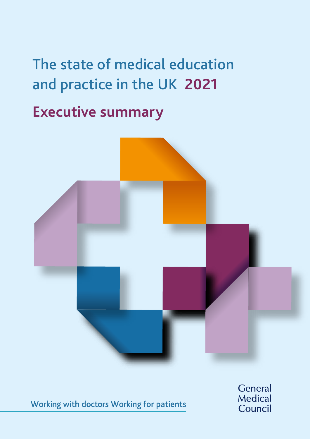# The state of medical education and practice in the UK **2021**

**Executive summary** 



Working with doctors Working for patients

General Medical Council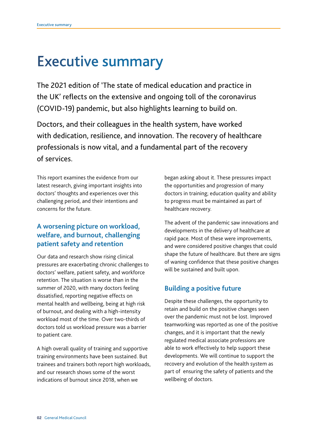## Executive summary

The 2021 edition of 'The state of medical education and practice in the UK' reflects on the extensive and ongoing toll of the coronavirus (COVID-19) pandemic, but also highlights learning to build on.

Doctors, and their colleagues in the health system, have worked with dedication, resilience, and innovation. The recovery of healthcare professionals is now vital, and a fundamental part of the recovery of services.

This report examines the evidence from our latest research, giving important insights into doctors' thoughts and experiences over this challenging period, and their intentions and concerns for the future.

#### **A worsening picture on workload, welfare, and burnout, challenging patient safety and retention**

Our data and research show rising clinical pressures are exacerbating chronic challenges to doctors' welfare, patient safety, and workforce retention. The situation is worse than in the summer of 2020, with many doctors feeling dissatisfed, reporting negative effects on mental health and wellbeing, being at high risk of burnout, and dealing with a high-intensity workload most of the time. Over two-thirds of doctors told us workload pressure was a barrier to patient care.

A high overall quality of training and supportive training environments have been sustained. But trainees and trainers both report high workloads, and our research shows some of the worst indications of burnout since 2018, when we

began asking about it. These pressures impact the opportunities and progression of many doctors in training; education quality and ability to progress must be maintained as part of healthcare recovery.

The advent of the pandemic saw innovations and developments in the delivery of healthcare at rapid pace. Most of these were improvements, and were considered positive changes that could shape the future of healthcare. But there are signs of waning confidence that these positive changes will be sustained and built upon.

#### **Building a positive future**

Despite these challenges, the opportunity to retain and build on the positive changes seen over the pandemic must not be lost. Improved teamworking was reported as one of the positive changes, and it is important that the newly regulated medical associate professions are able to work effectively to help support these developments. We will continue to support the recovery and evolution of the health system as part of ensuring the safety of patients and the wellbeing of doctors.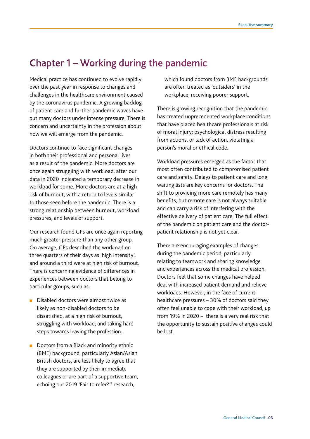### Chapter 1 – Working during the pandemic

Medical practice has continued to evolve rapidly over the past year in response to changes and challenges in the healthcare environment caused by the coronavirus pandemic. A growing backlog of patient care and further pandemic waves have put many doctors under intense pressure. There is concern and uncertainty in the profession about how we will emerge from the pandemic.

Doctors continue to face significant changes in both their professional and personal lives as a result of the pandemic. More doctors are once again struggling with workload, after our data in 2020 indicated a temporary decrease in workload for some. More doctors are at a high risk of burnout, with a return to levels similar to those seen before the pandemic. There is a strong relationship between burnout, workload pressures, and levels of support.

Our research found GPs are once again reporting much greater pressure than any other group. On average, GPs described the workload on three quarters of their days as 'high intensity', and around a third were at high risk of burnout. There is concerning evidence of differences in experiences between doctors that belong to particular groups, such as:

- Disabled doctors were almost twice as likely as non-disabled doctors to be dissatisfed, at a high risk of burnout, struggling with workload, and taking hard steps towards leaving the profession.
- Doctors from a Black and minority ethnic (BME) background, particularly Asian/Asian British doctors, are less likely to agree that they are supported by their immediate colleagues or are part of a supportive team, echoing our 2019 'Fair to refer?'<sup>1</sup> research,

which found doctors from BME backgrounds are often treated as 'outsiders' in the workplace, receiving poorer support.

There is growing recognition that the pandemic has created unprecedented workplace conditions that have placed healthcare professionals at risk of moral injury: psychological distress resulting from actions, or lack of action, violating a person's moral or ethical code.

Workload pressures emerged as the factor that most often contributed to compromised patient care and safety. Delays to patient care and long waiting lists are key concerns for doctors. The shift to providing more care remotely has many benefits, but remote care is not always suitable and can carry a risk of interfering with the effective delivery of patient care. The full effect of the pandemic on patient care and the doctorpatient relationship is not yet clear.

There are encouraging examples of changes during the pandemic period, particularly relating to teamwork and sharing knowledge and experiences across the medical profession. Doctors feel that some changes have helped deal with increased patient demand and relieve workloads. However, in the face of current healthcare pressures – 30% of doctors said they often feel unable to cope with their workload, up from 19% in 2020 – there is a very real risk that the opportunity to sustain positive changes could be lost.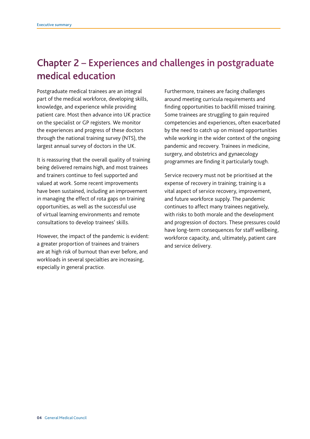### Chapter 2 – Experiences and challenges in postgraduate medical education

Postgraduate medical trainees are an integral part of the medical workforce, developing skills, knowledge, and experience while providing patient care. Most then advance into UK practice on the specialist or GP registers. We monitor the experiences and progress of these doctors through the national training survey (NTS), the largest annual survey of doctors in the UK.

It is reassuring that the overall quality of training being delivered remains high, and most trainees and trainers continue to feel supported and valued at work. Some recent improvements have been sustained, including an improvement in managing the effect of rota gaps on training opportunities, as well as the successful use of virtual learning environments and remote consultations to develop trainees' skills.

However, the impact of the pandemic is evident: a greater proportion of trainees and trainers are at high risk of burnout than ever before, and workloads in several specialties are increasing, especially in general practice.

Furthermore, trainees are facing challenges around meeting curricula requirements and finding opportunities to backfill missed training. Some trainees are struggling to gain required competencies and experiences, often exacerbated by the need to catch up on missed opportunities while working in the wider context of the ongoing pandemic and recovery. Trainees in medicine, surgery, and obstetrics and gynaecology programmes are finding it particularly tough.

Service recovery must not be prioritised at the expense of recovery in training; training is a vital aspect of service recovery, improvement, and future workforce supply. The pandemic continues to affect many trainees negatively, with risks to both morale and the development and progression of doctors. These pressures could have long-term consequences for staff wellbeing, workforce capacity, and, ultimately, patient care and service delivery.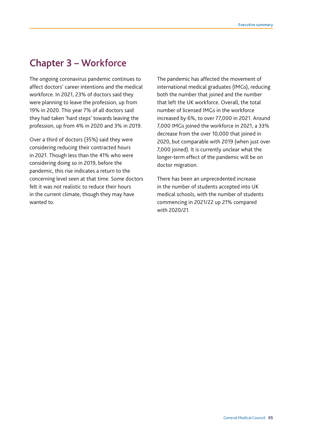#### Chapter 3 – Workforce

The ongoing coronavirus pandemic continues to affect doctors' career intentions and the medical workforce. In 2021, 23% of doctors said they were planning to leave the profession, up from 19% in 2020. This year 7% of all doctors said they had taken 'hard steps' towards leaving the profession, up from 4% in 2020 and 3% in 2019.

Over a third of doctors (35%) said they were considering reducing their contracted hours in 2021. Though less than the 41% who were considering doing so in 2019, before the pandemic, this rise indicates a return to the concerning level seen at that time. Some doctors felt it was not realistic to reduce their hours in the current climate, though they may have wanted to.

The pandemic has affected the movement of international medical graduates (IMGs), reducing both the number that joined and the number that left the UK workforce. Overall, the total number of licensed IMGs in the workforce increased by 6%, to over 77,000 in 2021. Around 7,000 IMGs joined the workforce in 2021, a 33% decrease from the over 10,000 that joined in 2020, but comparable with 2019 (when just over 7,000 joined). It is currently unclear what the longer-term effect of the pandemic will be on doctor migration.

There has been an unprecedented increase in the number of students accepted into UK medical schools, with the number of students commencing in 2021/22 up 21% compared with 2020/21.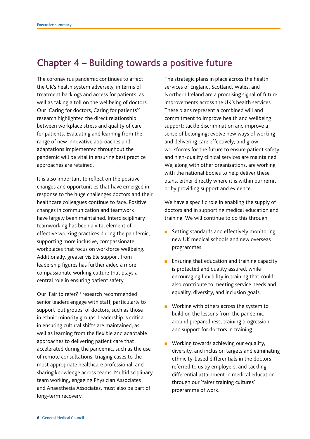#### Chapter 4 – Building towards a positive future

approaches are retained. The coronavirus pandemic continues to affect the UK's health system adversely, in terms of treatment backlogs and access for patients, as well as taking a toll on the wellbeing of doctors. Our 'Caring for doctors, Caring for patients'2 research highlighted the direct relationship between workplace stress and quality of care for patients. Evaluating and learning from the range of new innovative approaches and adaptations implemented throughout the pandemic will be vital in ensuring best practice

It is also important to reflect on the positive changes and opportunities that have emerged in response to the huge challenges doctors and their healthcare colleagues continue to face. Positive changes in communication and teamwork have largely been maintained. Interdisciplinary teamworking has been a vital element of effective working practices during the pandemic, supporting more inclusive, compassionate workplaces that focus on workforce wellbeing. Additionally, greater visible support from leadership figures has further aided a more compassionate working culture that plays a central role in ensuring patient safety.

Our 'Fair to refer?'<sup>1</sup> research recommended senior leaders engage with staff, particularly to support 'out groups' of doctors, such as those in ethnic minority groups. Leadership is critical in ensuring cultural shifts are maintained, as well as learning from the flexible and adaptable approaches to delivering patient care that accelerated during the pandemic, such as the use of remote consultations, triaging cases to the most appropriate healthcare professional, and sharing knowledge across teams. Multidisciplinary team working, engaging Physician Associates and Anaesthesia Associates, must also be part of long-term recovery.

The strategic plans in place across the health services of England, Scotland, Wales, and Northern Ireland are a promising signal of future improvements across the UK's health services. These plans represent a combined will and commitment to improve health and wellbeing support; tackle discrimination and improve a sense of belonging; evolve new ways of working and delivering care effectively; and grow workforces for the future to ensure patient safety and high-quality clinical services are maintained. We, along with other organisations, are working with the national bodies to help deliver these plans, either directly where it is within our remit or by providing support and evidence.

We have a specific role in enabling the supply of doctors and in supporting medical education and training. We will continue to do this through:

- m. Setting standards and effectively monitoring new UK medical schools and new overseas programmes.
- $\mathbf{r}$ Ensuring that education and training capacity is protected and quality assured, while encouraging flexibility in training that could also contribute to meeting service needs and equality, diversity, and inclusion goals.
- ш Working with others across the system to build on the lessons from the pandemic around preparedness, training progression, and support for doctors in training.
- Working towards achieving our equality, diversity, and inclusion targets and eliminating ethnicity-based differentials in the doctors referred to us by employers, and tackling differential attainment in medical education through our 'fairer training cultures' programme of work.